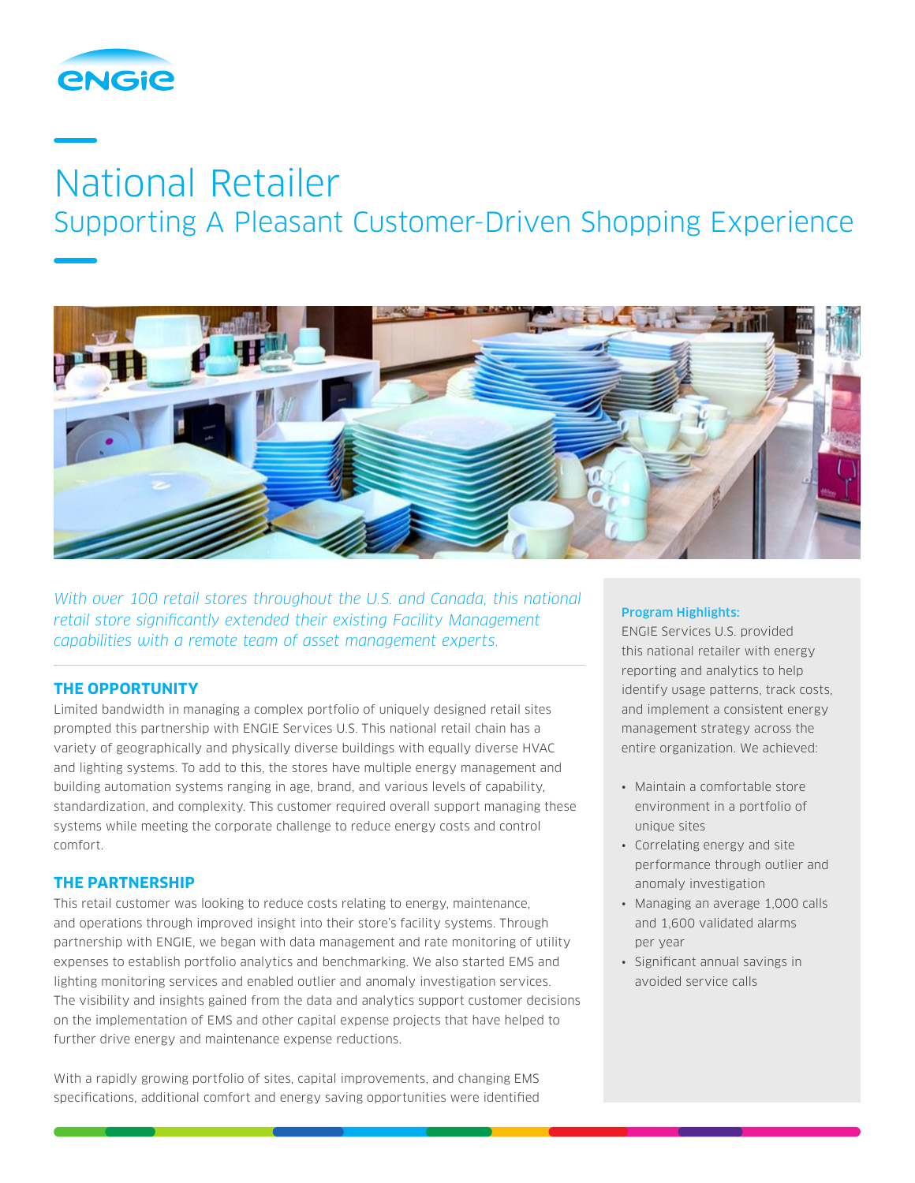

# National Retailer

Supporting A Pleasant Customer-Driven Shopping Experience



*With over 100 retail stores throughout the U.S. and Canada, this national retail store significantly extended their existing Facility Management capabilities with a remote team of asset management experts.*

# **THE OPPORTUNITY**

Limited bandwidth in managing a complex portfolio of uniquely designed retail sites prompted this partnership with ENGIE Services U.S. This national retail chain has a variety of geographically and physically diverse buildings with equally diverse HVAC and lighting systems. To add to this, the stores have multiple energy management and building automation systems ranging in age, brand, and various levels of capability, standardization, and complexity. This customer required overall support managing these systems while meeting the corporate challenge to reduce energy costs and control comfort.

### **THE PARTNERSHIP**

This retail customer was looking to reduce costs relating to energy, maintenance, and operations through improved insight into their store's facility systems. Through partnership with ENGIE, we began with data management and rate monitoring of utility expenses to establish portfolio analytics and benchmarking. We also started EMS and lighting monitoring services and enabled outlier and anomaly investigation services. The visibility and insights gained from the data and analytics support customer decisions on the implementation of EMS and other capital expense projects that have helped to further drive energy and maintenance expense reductions.

With a rapidly growing portfolio of sites, capital improvements, and changing EMS specifications, additional comfort and energy saving opportunities were identified

#### Program Highlights:

ENGIE Services U.S. provided this national retailer with energy reporting and analytics to help identify usage patterns, track costs, and implement a consistent energy management strategy across the entire organization. We achieved:

- Maintain a comfortable store environment in a portfolio of unique sites
- Correlating energy and site performance through outlier and anomaly investigation
- Managing an average 1,000 calls and 1,600 validated alarms per year
- Significant annual savings in avoided service calls